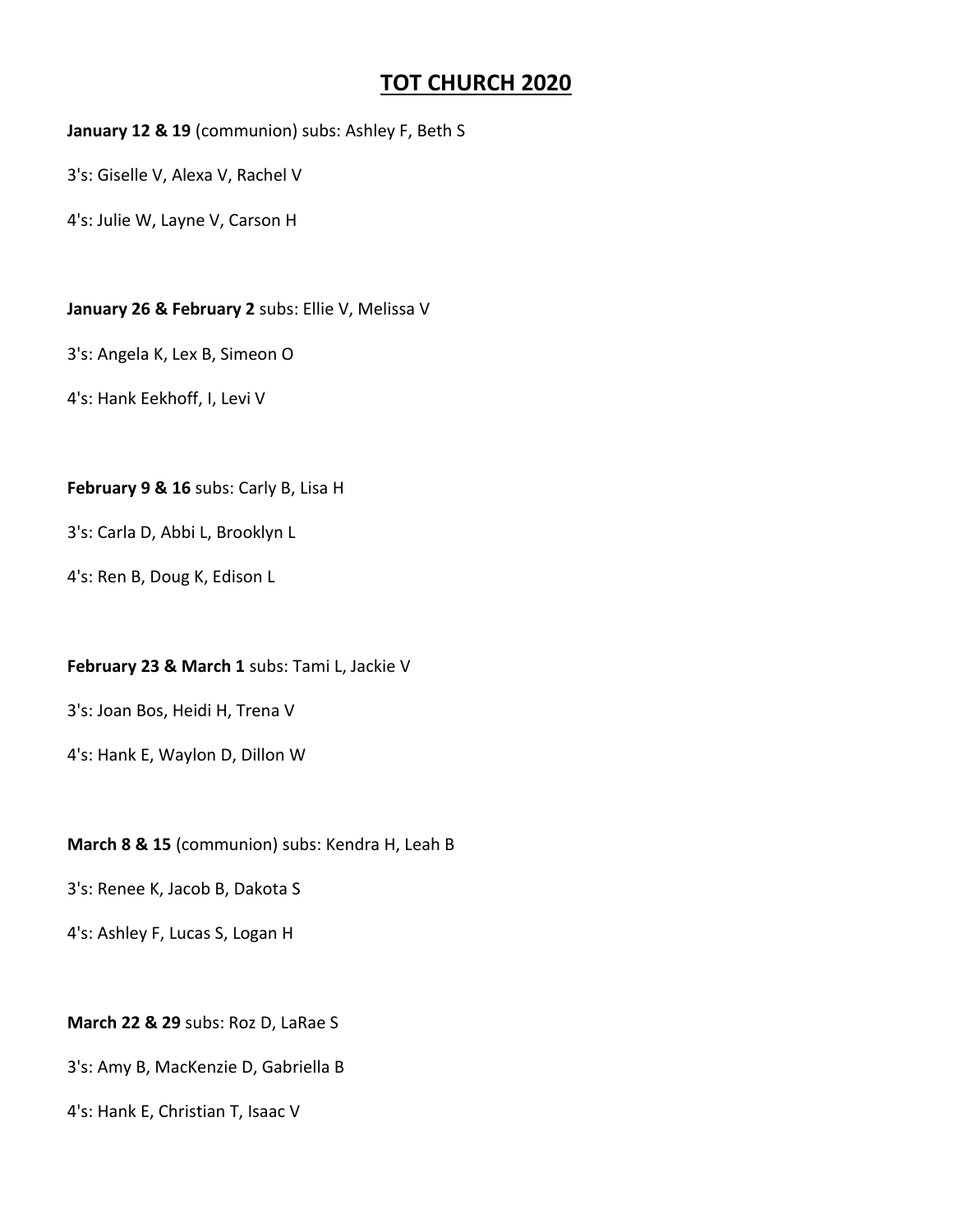# **TOT CHURCH 2020**

**January 12 & 19** (communion) subs: Ashley F, Beth S

3's: Giselle V, Alexa V, Rachel V

4's: Julie W, Layne V, Carson H

**January 26 & February 2** subs: Ellie V, Melissa V

3's: Angela K, Lex B, Simeon O

4's: Hank Eekhoff, I, Levi V

## **February 9 & 16** subs: Carly B, Lisa H

3's: Carla D, Abbi L, Brooklyn L

4's: Ren B, Doug K, Edison L

## **February 23 & March 1** subs: Tami L, Jackie V

3's: Joan Bos, Heidi H, Trena V

4's: Hank E, Waylon D, Dillon W

## **March 8 & 15** (communion) subs: Kendra H, Leah B

3's: Renee K, Jacob B, Dakota S

4's: Ashley F, Lucas S, Logan H

## **March 22 & 29** subs: Roz D, LaRae S

3's: Amy B, MacKenzie D, Gabriella B

4's: Hank E, Christian T, Isaac V